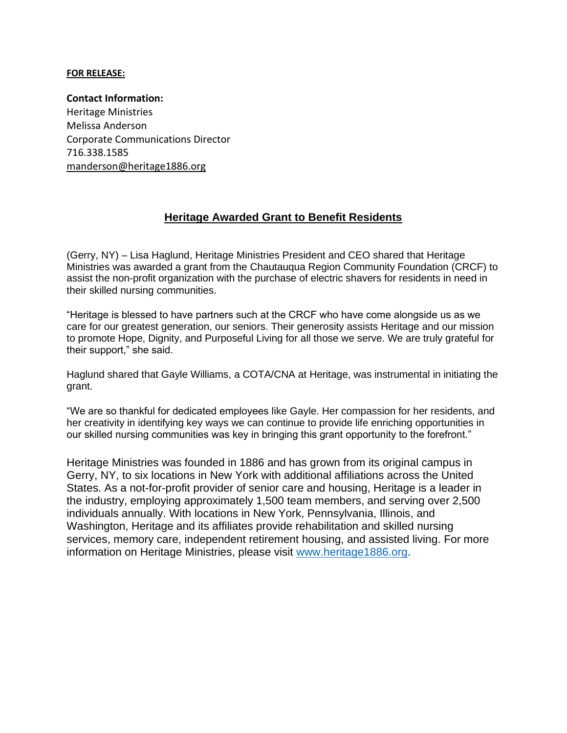## **FOR RELEASE:**

**Contact Information:** Heritage Ministries Melissa Anderson Corporate Communications Director 716.338.1585 [manderson@heritage1886.org](mailto:manderson@heritage1886.org)

## **Heritage Awarded Grant to Benefit Residents**

(Gerry, NY) – Lisa Haglund, Heritage Ministries President and CEO shared that Heritage Ministries was awarded a grant from the Chautauqua Region Community Foundation (CRCF) to assist the non-profit organization with the purchase of electric shavers for residents in need in their skilled nursing communities.

"Heritage is blessed to have partners such at the CRCF who have come alongside us as we care for our greatest generation, our seniors. Their generosity assists Heritage and our mission to promote Hope, Dignity, and Purposeful Living for all those we serve. We are truly grateful for their support," she said.

Haglund shared that Gayle Williams, a COTA/CNA at Heritage, was instrumental in initiating the grant.

"We are so thankful for dedicated employees like Gayle. Her compassion for her residents, and her creativity in identifying key ways we can continue to provide life enriching opportunities in our skilled nursing communities was key in bringing this grant opportunity to the forefront."

Heritage Ministries was founded in 1886 and has grown from its original campus in Gerry, NY, to six locations in New York with additional affiliations across the United States. As a not-for-profit provider of senior care and housing, Heritage is a leader in the industry, employing approximately 1,500 team members, and serving over 2,500 individuals annually. With locations in New York, Pennsylvania, Illinois, and Washington, Heritage and its affiliates provide rehabilitation and skilled nursing services, memory care, independent retirement housing, and assisted living. For more information on Heritage Ministries, please visit [www.heritage1886.org.](http://www.heritage1886.org/)